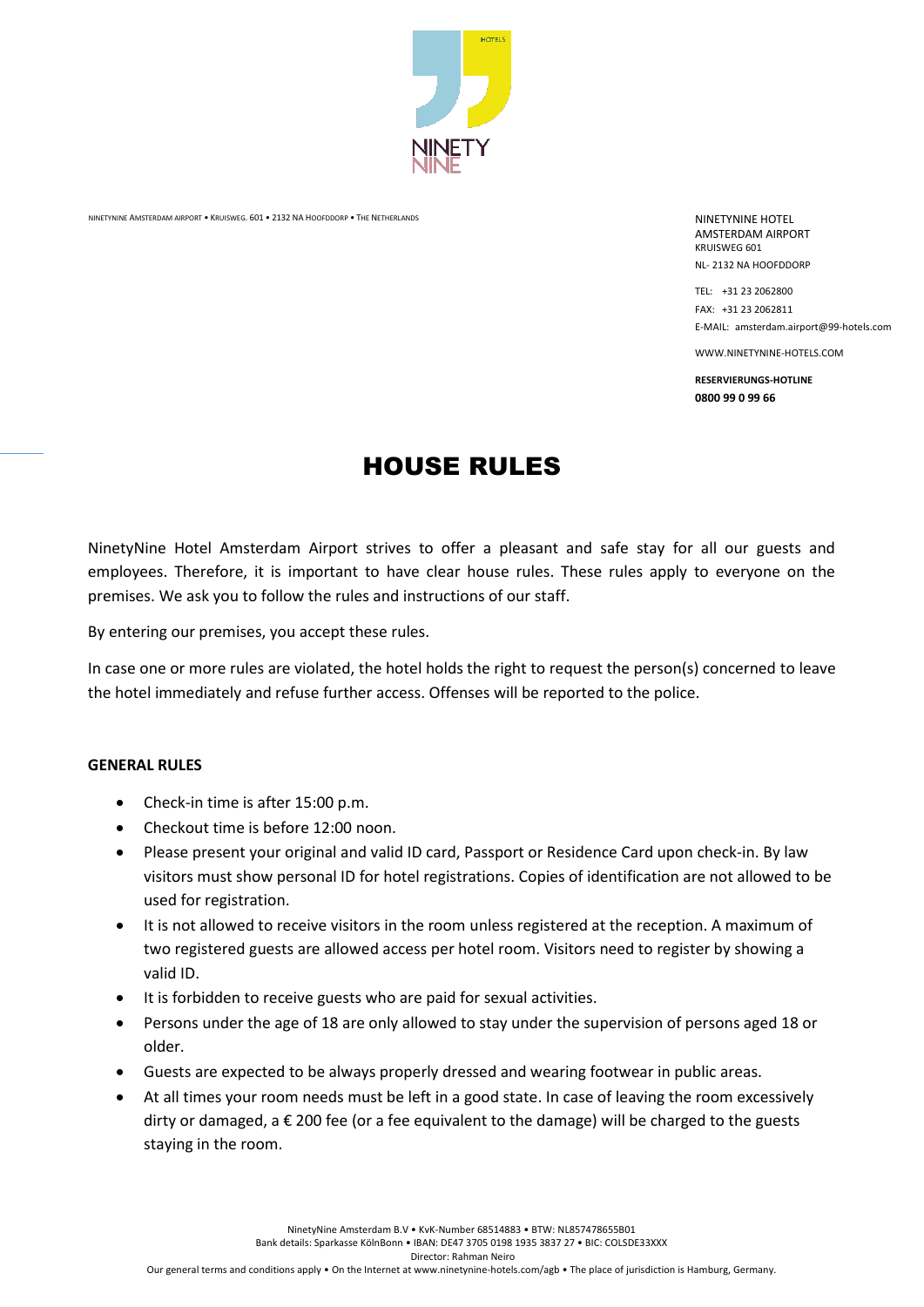

NINETYNINE AMSTERDAM AIRPORT • KRUISWEG. 601 • 2132 NA HOOFDDORP • THE NETHERLANDS NETHERLANDS NINETYNINE HOTEL

AMSTERDAM AIRPORT KRUISWEG 601 NL- 2132 NA HOOFDDORP

TEL: +31 23 2062800 FAX: +31 23 2062811 E-MAIL: amsterdam.airport@99-hotels.com

WWW.NINETYNINE-HOTELS.COM

**RESERVIERUNGS-HOTLINE 0800 99 0 99 66**

# HOUSE RULES

NinetyNine Hotel Amsterdam Airport strives to offer a pleasant and safe stay for all our guests and employees. Therefore, it is important to have clear house rules. These rules apply to everyone on the premises. We ask you to follow the rules and instructions of our staff.

By entering our premises, you accept these rules.

In case one or more rules are violated, the hotel holds the right to request the person(s) concerned to leave the hotel immediately and refuse further access. Offenses will be reported to the police.

#### **GENERAL RULES**

- Check-in time is after 15:00 p.m.
- Checkout time is before 12:00 noon.
- Please present your original and valid ID card, Passport or Residence Card upon check-in. By law visitors must show personal ID for hotel registrations. Copies of identification are not allowed to be used for registration.
- It is not allowed to receive visitors in the room unless registered at the reception. A maximum of two registered guests are allowed access per hotel room. Visitors need to register by showing a valid ID.
- It is forbidden to receive guests who are paid for sexual activities.
- Persons under the age of 18 are only allowed to stay under the supervision of persons aged 18 or older.
- Guests are expected to be always properly dressed and wearing footwear in public areas.
- At all times your room needs must be left in a good state. In case of leaving the room excessively dirty or damaged, a  $\epsilon$  200 fee (or a fee equivalent to the damage) will be charged to the guests staying in the room.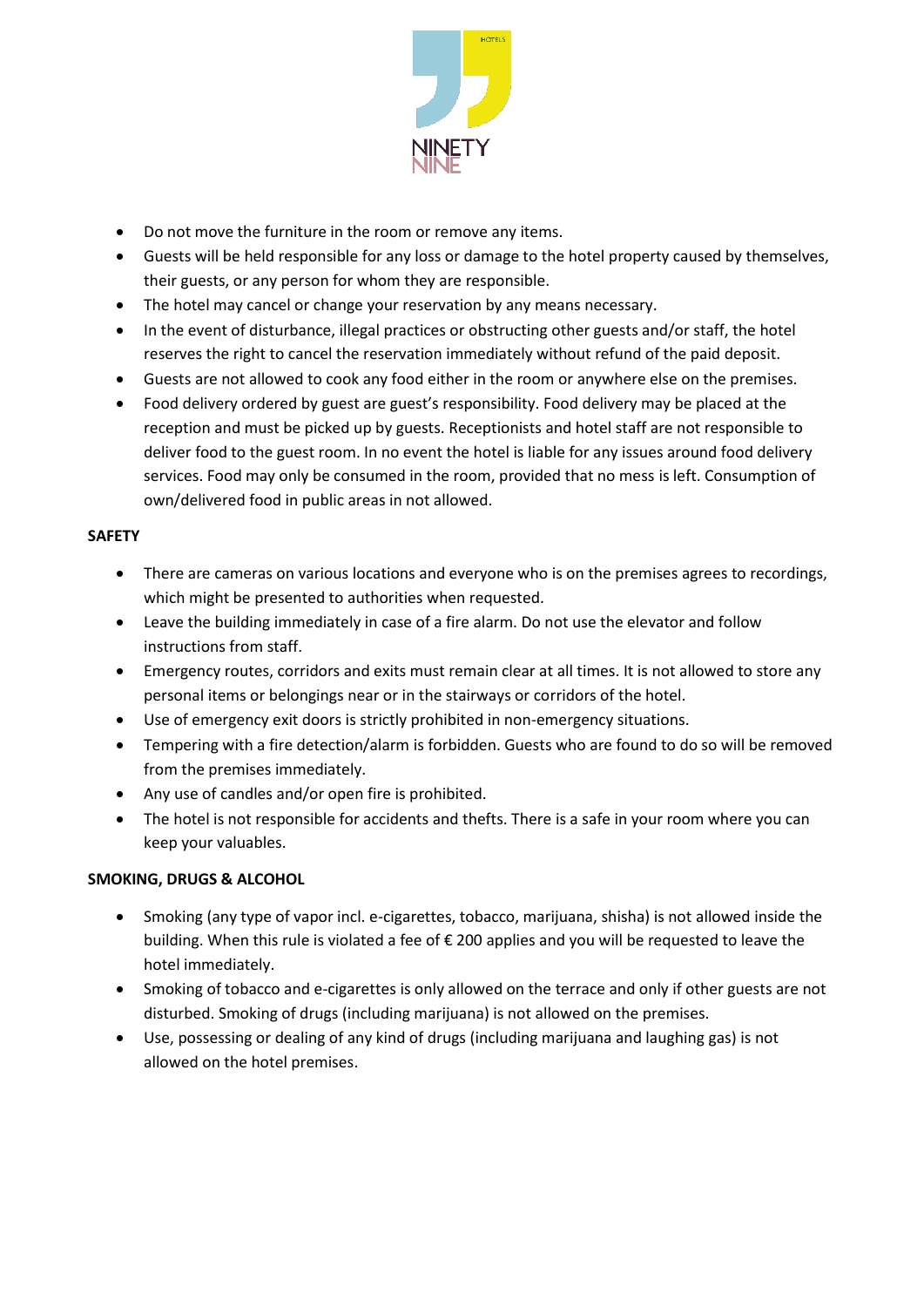

- Do not move the furniture in the room or remove any items.
- Guests will be held responsible for any loss or damage to the hotel property caused by themselves, their guests, or any person for whom they are responsible.
- The hotel may cancel or change your reservation by any means necessary.
- In the event of disturbance, illegal practices or obstructing other guests and/or staff, the hotel reserves the right to cancel the reservation immediately without refund of the paid deposit.
- Guests are not allowed to cook any food either in the room or anywhere else on the premises.
- Food delivery ordered by guest are guest's responsibility. Food delivery may be placed at the reception and must be picked up by guests. Receptionists and hotel staff are not responsible to deliver food to the guest room. In no event the hotel is liable for any issues around food delivery services. Food may only be consumed in the room, provided that no mess is left. Consumption of own/delivered food in public areas in not allowed.

# **SAFETY**

- There are cameras on various locations and everyone who is on the premises agrees to recordings, which might be presented to authorities when requested.
- Leave the building immediately in case of a fire alarm. Do not use the elevator and follow instructions from staff.
- Emergency routes, corridors and exits must remain clear at all times. It is not allowed to store any personal items or belongings near or in the stairways or corridors of the hotel.
- Use of emergency exit doors is strictly prohibited in non-emergency situations.
- Tempering with a fire detection/alarm is forbidden. Guests who are found to do so will be removed from the premises immediately.
- Any use of candles and/or open fire is prohibited.
- The hotel is not responsible for accidents and thefts. There is a safe in your room where you can keep your valuables.

# **SMOKING, DRUGS & ALCOHOL**

- Smoking (any type of vapor incl. e-cigarettes, tobacco, marijuana, shisha) is not allowed inside the building. When this rule is violated a fee of € 200 applies and you will be requested to leave the hotel immediately.
- Smoking of tobacco and e-cigarettes is only allowed on the terrace and only if other guests are not disturbed. Smoking of drugs (including marijuana) is not allowed on the premises.
- Use, possessing or dealing of any kind of drugs (including marijuana and laughing gas) is not allowed on the hotel premises.